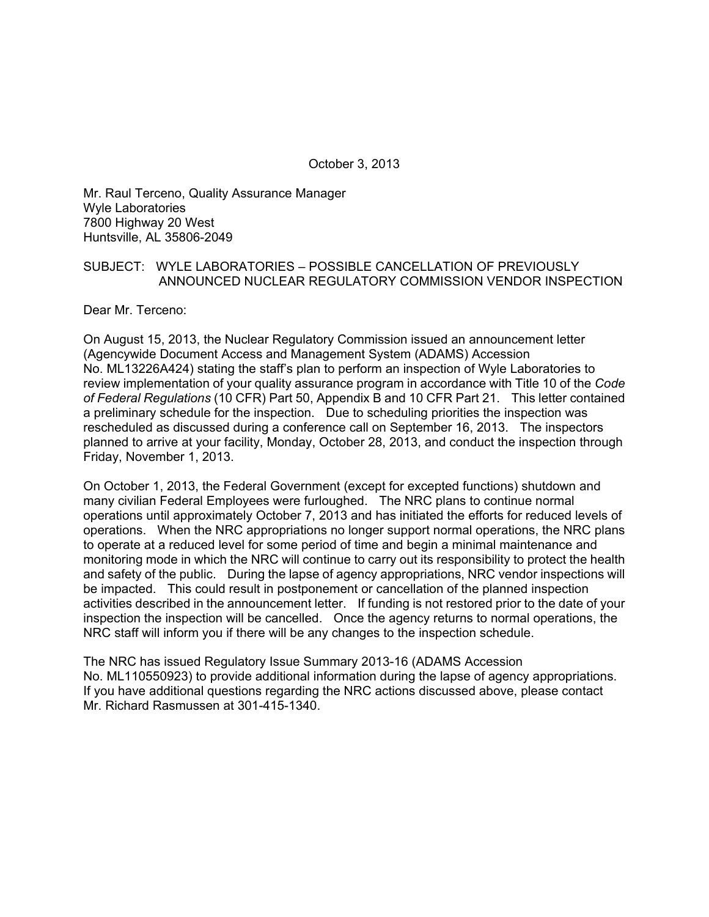October 3, 2013

Mr. Raul Terceno, Quality Assurance Manager Wyle Laboratories 7800 Highway 20 West Huntsville, AL 35806-2049

## SUBJECT: WYLE LABORATORIES – POSSIBLE CANCELLATION OF PREVIOUSLY ANNOUNCED NUCLEAR REGULATORY COMMISSION VENDOR INSPECTION

Dear Mr. Terceno:

On August 15, 2013, the Nuclear Regulatory Commission issued an announcement letter (Agencywide Document Access and Management System (ADAMS) Accession No. ML13226A424) stating the staff's plan to perform an inspection of Wyle Laboratories to review implementation of your quality assurance program in accordance with Title 10 of the *Code of Federal Regulations* (10 CFR) Part 50, Appendix B and 10 CFR Part 21. This letter contained a preliminary schedule for the inspection. Due to scheduling priorities the inspection was rescheduled as discussed during a conference call on September 16, 2013. The inspectors planned to arrive at your facility, Monday, October 28, 2013, and conduct the inspection through Friday, November 1, 2013.

On October 1, 2013, the Federal Government (except for excepted functions) shutdown and many civilian Federal Employees were furloughed. The NRC plans to continue normal operations until approximately October 7, 2013 and has initiated the efforts for reduced levels of operations. When the NRC appropriations no longer support normal operations, the NRC plans to operate at a reduced level for some period of time and begin a minimal maintenance and monitoring mode in which the NRC will continue to carry out its responsibility to protect the health and safety of the public. During the lapse of agency appropriations, NRC vendor inspections will be impacted. This could result in postponement or cancellation of the planned inspection activities described in the announcement letter. If funding is not restored prior to the date of your inspection the inspection will be cancelled. Once the agency returns to normal operations, the NRC staff will inform you if there will be any changes to the inspection schedule.

The NRC has issued Regulatory Issue Summary 2013-16 (ADAMS Accession No. ML110550923) to provide additional information during the lapse of agency appropriations. If you have additional questions regarding the NRC actions discussed above, please contact Mr. Richard Rasmussen at 301-415-1340.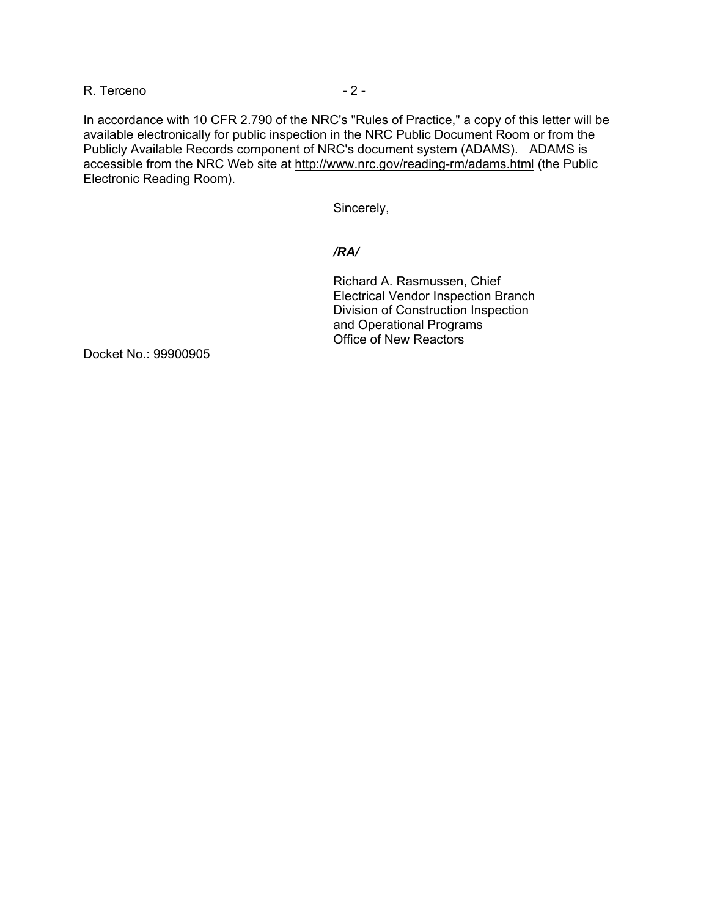### R. Terceno - 2 - 2 -

In accordance with 10 CFR 2.790 of the NRC's "Rules of Practice," a copy of this letter will be available electronically for public inspection in the NRC Public Document Room or from the Publicly Available Records component of NRC's document system (ADAMS). ADAMS is accessible from the NRC Web site at http://www.nrc.gov/reading-rm/adams.html (the Public Electronic Reading Room).

Sincerely,

# */RA/*

Richard A. Rasmussen, Chief Electrical Vendor Inspection Branch Division of Construction Inspection and Operational Programs Office of New Reactors

Docket No.: 99900905